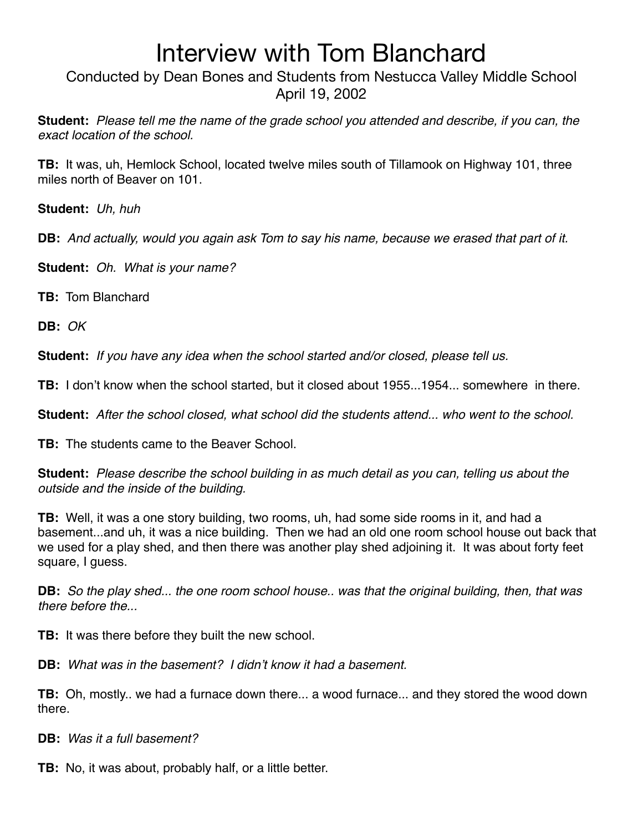Conducted by Dean Bones and Students from Nestucca Valley Middle School April 19, 2002

**Student:** *Please tell me the name of the grade school you attended and describe, if you can, the exact location of the school.*

**TB:** It was, uh, Hemlock School, located twelve miles south of Tillamook on Highway 101, three miles north of Beaver on 101.

**Student:** *Uh, huh*

**DB:** *And actually, would you again ask Tom to say his name, because we erased that part of it.*

**Student:** *Oh. What is your name?*

**TB:** Tom Blanchard

**DB:** *OK*

**Student:** *If you have any idea when the school started and/or closed, please tell us.*

**TB:** I don't know when the school started, but it closed about 1955...1954... somewhere in there.

**Student:** *After the school closed, what school did the students attend... who went to the school.*

**TB:** The students came to the Beaver School.

**Student:** *Please describe the school building in as much detail as you can, telling us about the outside and the inside of the building.*

**TB:** Well, it was a one story building, two rooms, uh, had some side rooms in it, and had a basement...and uh, it was a nice building. Then we had an old one room school house out back that we used for a play shed, and then there was another play shed adjoining it. It was about forty feet square, I guess.

**DB:** *So the play shed... the one room school house.. was that the original building, then, that was there before the...*

**TB:** It was there before they built the new school.

**DB:** *What was in the basement? I didn*'*t know it had a basement.*

**TB:** Oh, mostly.. we had a furnace down there... a wood furnace... and they stored the wood down there.

**DB:** *Was it a full basement?*

**TB:** No, it was about, probably half, or a little better.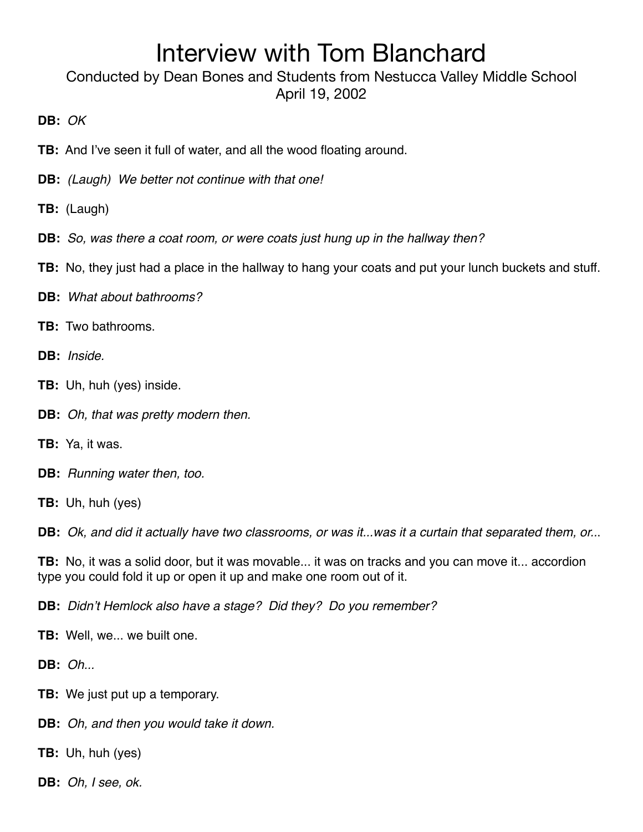Conducted by Dean Bones and Students from Nestucca Valley Middle School April 19, 2002

**DB:** *OK*

- **TB:** And I've seen it full of water, and all the wood floating around.
- **DB:** *(Laugh) We better not continue with that one!*
- **TB:** (Laugh)
- **DB:** *So, was there a coat room, or were coats just hung up in the hallway then?*
- **TB:** No, they just had a place in the hallway to hang your coats and put your lunch buckets and stuff.
- **DB:** *What about bathrooms?*
- **TB:** Two bathrooms.
- **DB:** *Inside.*
- **TB:** Uh, huh (yes) inside.
- **DB:** *Oh, that was pretty modern then.*
- **TB:** Ya, it was.
- **DB:** *Running water then, too.*
- **TB:** Uh, huh (yes)

**DB:** *Ok, and did it actually have two classrooms, or was it...was it a curtain that separated them, or..*.

**TB:** No, it was a solid door, but it was movable... it was on tracks and you can move it... accordion type you could fold it up or open it up and make one room out of it.

**DB:** *Didn*'*t Hemlock also have a stage? Did they? Do you remember?*

- **TB:** Well, we... we built one.
- **DB:** *Oh...*
- **TB:** We just put up a temporary.
- **DB:** *Oh, and then you would take it down.*
- **TB:** Uh, huh (yes)
- **DB:** *Oh, I see, ok.*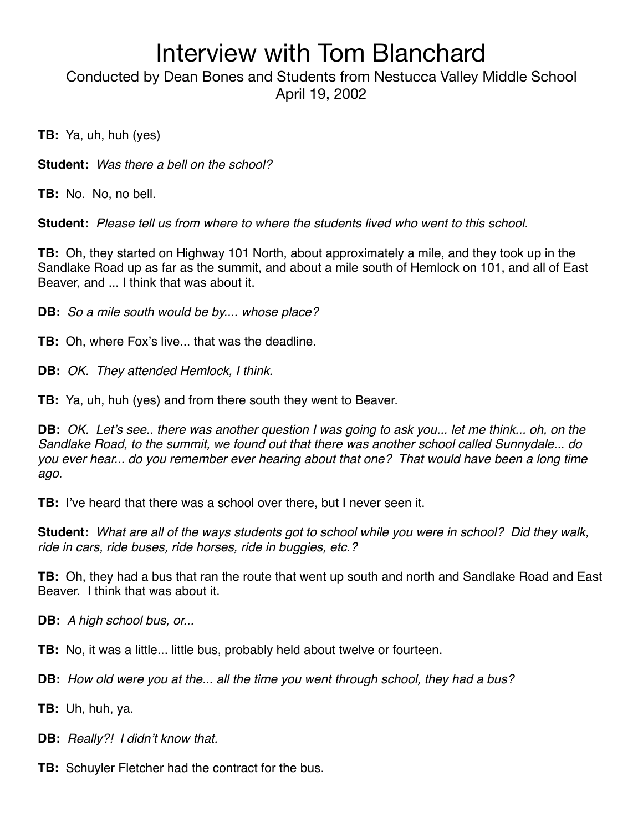Conducted by Dean Bones and Students from Nestucca Valley Middle School April 19, 2002

**TB:** Ya, uh, huh (yes)

**Student:** *Was there a bell on the school?*

**TB:** No. No, no bell.

**Student:** *Please tell us from where to where the students lived who went to this school.*

**TB:** Oh, they started on Highway 101 North, about approximately a mile, and they took up in the Sandlake Road up as far as the summit, and about a mile south of Hemlock on 101, and all of East Beaver, and ... I think that was about it.

**DB:** *So a mile south would be by.... whose place?*

**TB:** Oh, where Fox's live... that was the deadline.

**DB:** *OK. They attended Hemlock, I think.*

**TB:** Ya, uh, huh (yes) and from there south they went to Beaver.

**DB:** *OK. Let*'*s see.. there was another question I was going to ask you... let me think... oh, on the Sandlake Road, to the summit, we found out that there was another school called Sunnydale... do you ever hear... do you remember ever hearing about that one? That would have been a long time ago.*

**TB:** I've heard that there was a school over there, but I never seen it.

**Student:** *What are all of the ways students got to school while you were in school? Did they walk, ride in cars, ride buses, ride horses, ride in buggies, etc.?*

**TB:** Oh, they had a bus that ran the route that went up south and north and Sandlake Road and East Beaver. I think that was about it.

**DB:** *A high school bus, or...*

**TB:** No, it was a little... little bus, probably held about twelve or fourteen.

**DB:** *How old were you at the... all the time you went through school, they had a bus?*

**TB:** Uh, huh, ya.

**DB:** *Really?! I didn*'*t know that.*

**TB:** Schuyler Fletcher had the contract for the bus.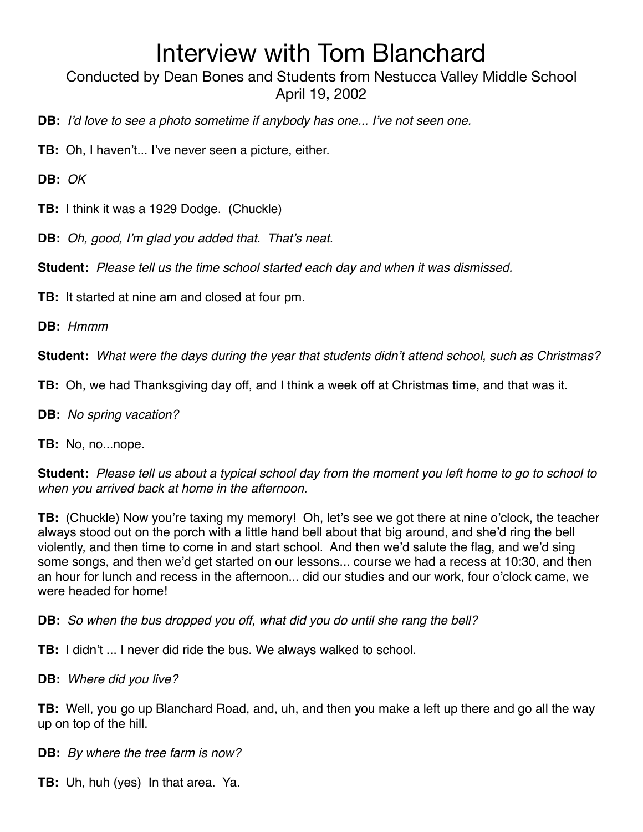Conducted by Dean Bones and Students from Nestucca Valley Middle School April 19, 2002

- **DB:** *I*'*d love to see a photo sometime if anybody has one... I*'*ve not seen one.*
- **TB:** Oh, I haven't... I've never seen a picture, either.

**DB:** *OK*

**TB:** I think it was a 1929 Dodge. (Chuckle)

**DB:** *Oh, good, I*'*m glad you added that. That*'*s neat.*

**Student:** *Please tell us the time school started each day and when it was dismissed.*

**TB:** It started at nine am and closed at four pm.

**DB:** *Hmmm*

**Student:** *What were the days during the year that students didn*'*t attend school, such as Christmas?*

**TB:** Oh, we had Thanksgiving day off, and I think a week off at Christmas time, and that was it.

**DB:** *No spring vacation?*

**TB:** No, no...nope.

**Student:** *Please tell us about a typical school day from the moment you left home to go to school to when you arrived back at home in the afternoon.*

**TB:** (Chuckle) Now you're taxing my memory! Oh, let's see we got there at nine o'clock, the teacher always stood out on the porch with a little hand bell about that big around, and she'd ring the bell violently, and then time to come in and start school. And then we'd salute the flag, and we'd sing some songs, and then we'd get started on our lessons... course we had a recess at 10:30, and then an hour for lunch and recess in the afternoon... did our studies and our work, four o'clock came, we were headed for home!

**DB:** *So when the bus dropped you off, what did you do until she rang the bell?*

**TB:** I didn't ... I never did ride the bus. We always walked to school.

**DB:** *Where did you live?*

**TB:** Well, you go up Blanchard Road, and, uh, and then you make a left up there and go all the way up on top of the hill.

**DB:** *By where the tree farm is now?*

**TB:** Uh, huh (yes) In that area. Ya.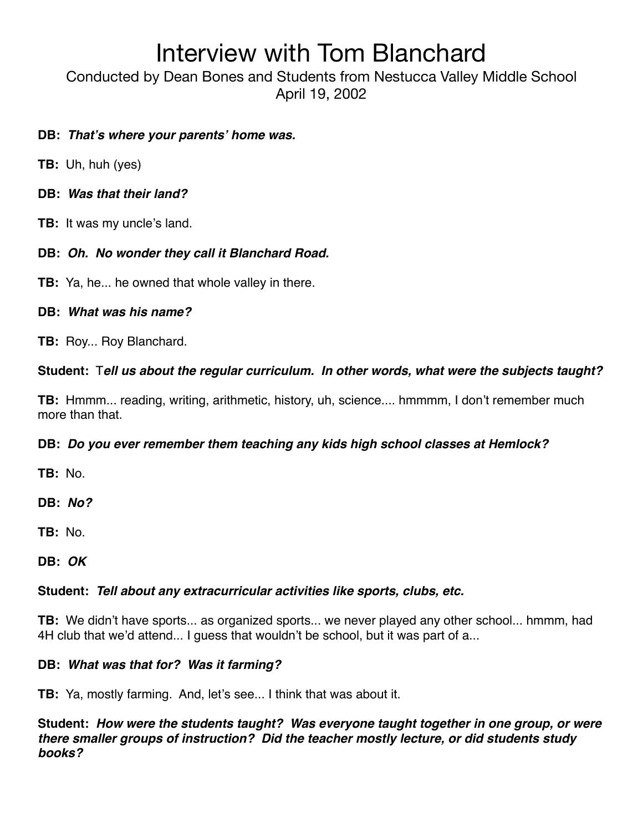Conducted by Dean Bones and Students from Nestucca Valley Middle School April 19, 2002

### **DB:** *That***'***s where your parents***'** *home was.*

- **TB:** Uh, huh (yes)
- **DB:** *Was that their land?*
- **TB:** It was my uncle's land.

### **DB:** *Oh. No wonder they call it Blanchard Road.*

**TB:** Ya, he... he owned that whole valley in there.

#### **DB:** *What was his name?*

**TB:** Roy... Roy Blanchard.

### **Student:** T*ell us about the regular curriculum. In other words, what were the subjects taught?*

**TB:** Hmmm... reading, writing, arithmetic, history, uh, science.... hmmmm, I don't remember much more than that.

### **DB:** *Do you ever remember them teaching any kids high school classes at Hemlock?*

**TB:** No.

**DB:** *No?*

**TB:** No.

**DB:** *OK*

### **Student:** *Tell about any extracurricular activities like sports, clubs, etc.*

**TB:** We didn't have sports... as organized sports... we never played any other school... hmmm, had 4H club that we'd attend... I guess that wouldn't be school, but it was part of a...

### **DB:** *What was that for? Was it farming?*

**TB:** Ya, mostly farming. And, let's see... I think that was about it.

**Student:** *How were the students taught? Was everyone taught together in one group, or were there smaller groups of instruction? Did the teacher mostly lecture, or did students study books?*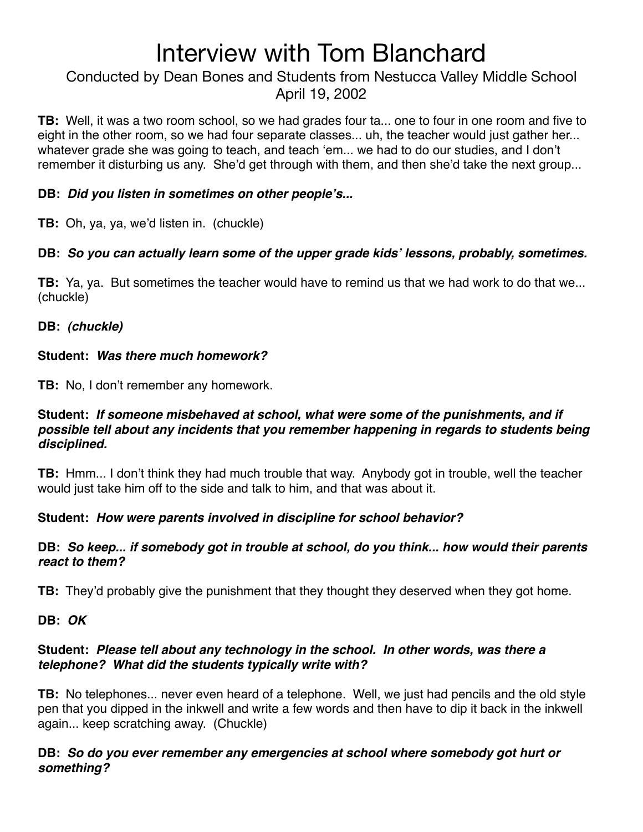### Conducted by Dean Bones and Students from Nestucca Valley Middle School April 19, 2002

**TB:** Well, it was a two room school, so we had grades four ta... one to four in one room and five to eight in the other room, so we had four separate classes... uh, the teacher would just gather her... whatever grade she was going to teach, and teach ʻem... we had to do our studies, and I don't remember it disturbing us any. She'd get through with them, and then she'd take the next group...

### **DB:** *Did you listen in sometimes on other people***'***s...*

**TB:** Oh, ya, ya, we'd listen in. (chuckle)

### **DB:** *So you can actually learn some of the upper grade kids***'** *lessons, probably, sometimes.*

**TB:** Ya, ya. But sometimes the teacher would have to remind us that we had work to do that we... (chuckle)

#### **DB:** *(chuckle)*

### **Student:** *Was there much homework?*

**TB:** No, I don't remember any homework.

#### **Student:** *If someone misbehaved at school, what were some of the punishments, and if possible tell about any incidents that you remember happening in regards to students being disciplined.*

**TB:** Hmm... I don't think they had much trouble that way. Anybody got in trouble, well the teacher would just take him off to the side and talk to him, and that was about it.

### **Student:** *How were parents involved in discipline for school behavior?*

#### **DB:** *So keep... if somebody got in trouble at school, do you think... how would their parents react to them?*

**TB:** They'd probably give the punishment that they thought they deserved when they got home.

**DB:** *OK*

#### **Student:** *Please tell about any technology in the school. In other words, was there a telephone? What did the students typically write with?*

**TB:** No telephones... never even heard of a telephone. Well, we just had pencils and the old style pen that you dipped in the inkwell and write a few words and then have to dip it back in the inkwell again... keep scratching away. (Chuckle)

#### **DB:** *So do you ever remember any emergencies at school where somebody got hurt or something?*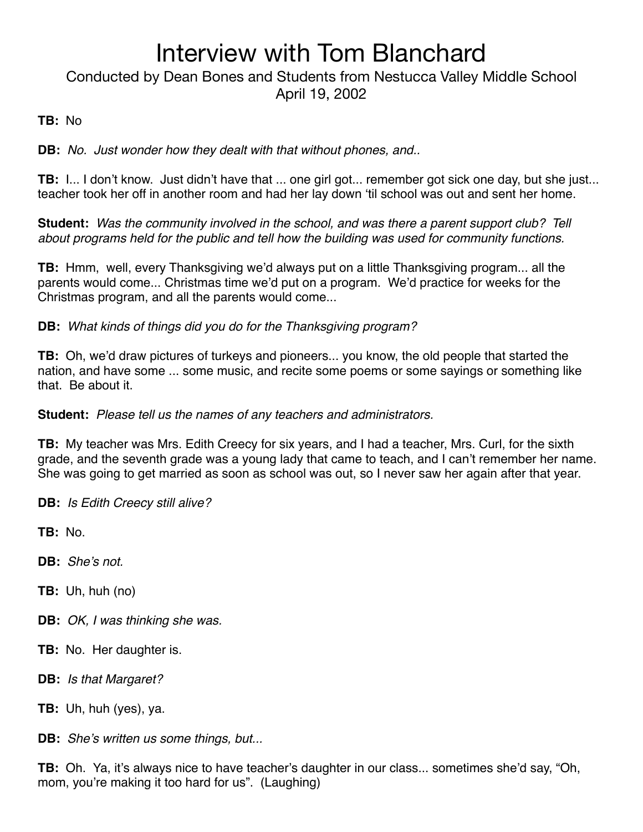## Conducted by Dean Bones and Students from Nestucca Valley Middle School April 19, 2002

### **TB:** No

**DB:** *No. Just wonder how they dealt with that without phones, and..*

**TB:** I... I don't know. Just didn't have that ... one girl got... remember got sick one day, but she just... teacher took her off in another room and had her lay down ʻtil school was out and sent her home.

**Student:** *Was the community involved in the school, and was there a parent support club? Tell about programs held for the public and tell how the building was used for community functions.*

**TB:** Hmm, well, every Thanksgiving we'd always put on a little Thanksgiving program... all the parents would come... Christmas time we'd put on a program. We'd practice for weeks for the Christmas program, and all the parents would come...

**DB:** *What kinds of things did you do for the Thanksgiving program?*

**TB:** Oh, we'd draw pictures of turkeys and pioneers... you know, the old people that started the nation, and have some ... some music, and recite some poems or some sayings or something like that. Be about it.

**Student:** *Please tell us the names of any teachers and administrators.*

**TB:** My teacher was Mrs. Edith Creecy for six years, and I had a teacher, Mrs. Curl, for the sixth grade, and the seventh grade was a young lady that came to teach, and I can't remember her name. She was going to get married as soon as school was out, so I never saw her again after that year.

**DB:** *Is Edith Creecy still alive?*

**TB:** No.

**DB:** *She*'*s not.*

**TB:** Uh, huh (no)

- **DB:** *OK, I was thinking she was.*
- **TB:** No. Her daughter is.
- **DB:** *Is that Margaret?*
- **TB:** Uh, huh (yes), ya.
- **DB:** *She*'*s written us some things, but...*

**TB:** Oh. Ya, it's always nice to have teacher's daughter in our class... sometimes she'd say, "Oh, mom, you're making it too hard for us". (Laughing)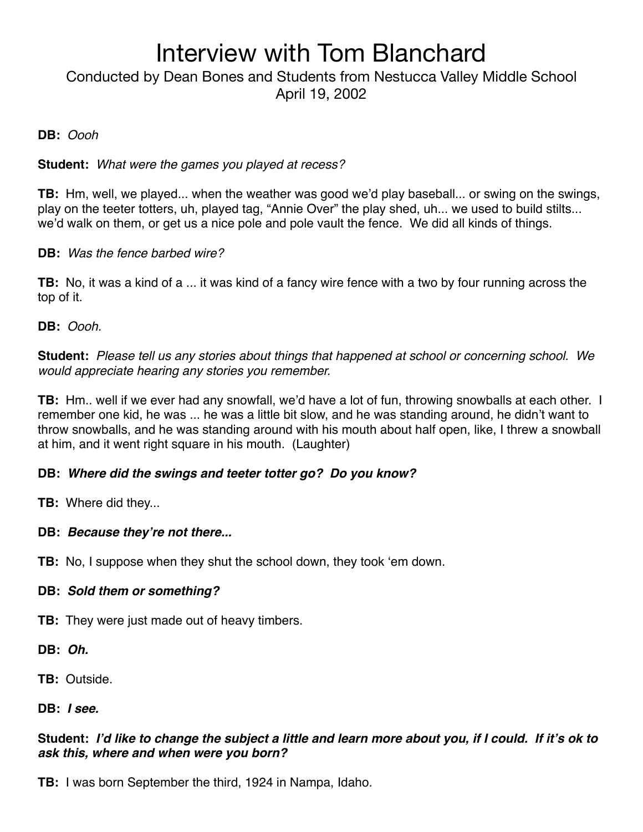Conducted by Dean Bones and Students from Nestucca Valley Middle School April 19, 2002

#### **DB:** *Oooh*

#### **Student:** *What were the games you played at recess?*

**TB:** Hm, well, we played... when the weather was good we'd play baseball... or swing on the swings, play on the teeter totters, uh, played tag, "Annie Over" the play shed, uh... we used to build stilts... we'd walk on them, or get us a nice pole and pole vault the fence. We did all kinds of things.

#### **DB:** *Was the fence barbed wire?*

**TB:** No, it was a kind of a ... it was kind of a fancy wire fence with a two by four running across the top of it.

**DB:** *Oooh.*

**Student:** *Please tell us any stories about things that happened at school or concerning school. We would appreciate hearing any stories you remember.*

**TB:** Hm.. well if we ever had any snowfall, we'd have a lot of fun, throwing snowballs at each other. I remember one kid, he was ... he was a little bit slow, and he was standing around, he didn't want to throw snowballs, and he was standing around with his mouth about half open, like, I threw a snowball at him, and it went right square in his mouth. (Laughter)

### **DB:** *Where did the swings and teeter totter go? Do you know?*

**TB:** Where did they...

### **DB:** *Because they***'***re not there...*

**TB:** No, I suppose when they shut the school down, they took ʻem down.

#### **DB:** *Sold them or something?*

**TB:** They were just made out of heavy timbers.

**DB:** *Oh.*

**TB:** Outside.

#### **DB:** *I see.*

### **Student:** *I***'***d like to change the subject a little and learn more about you, if I could. If it***'***s ok to ask this, where and when were you born?*

**TB:** I was born September the third, 1924 in Nampa, Idaho.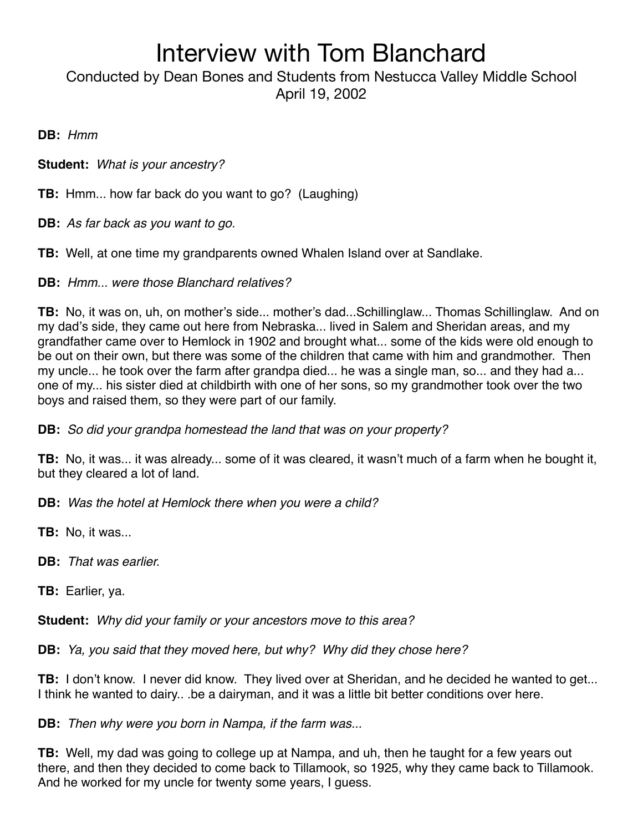Conducted by Dean Bones and Students from Nestucca Valley Middle School April 19, 2002

**DB:** *Hmm*

**Student:** *What is your ancestry?*

**TB:** Hmm... how far back do you want to go? (Laughing)

**DB:** *As far back as you want to go.*

**TB:** Well, at one time my grandparents owned Whalen Island over at Sandlake.

**DB:** *Hmm... were those Blanchard relatives?*

**TB:** No, it was on, uh, on mother's side... mother's dad...Schillinglaw... Thomas Schillinglaw. And on my dad's side, they came out here from Nebraska... lived in Salem and Sheridan areas, and my grandfather came over to Hemlock in 1902 and brought what... some of the kids were old enough to be out on their own, but there was some of the children that came with him and grandmother. Then my uncle... he took over the farm after grandpa died... he was a single man, so... and they had a... one of my... his sister died at childbirth with one of her sons, so my grandmother took over the two boys and raised them, so they were part of our family.

**DB:** *So did your grandpa homestead the land that was on your property?*

**TB:** No, it was... it was already... some of it was cleared, it wasn't much of a farm when he bought it, but they cleared a lot of land.

**DB:** *Was the hotel at Hemlock there when you were a child?*

**TB:** No, it was...

**DB:** *That was earlier.*

**TB:** Earlier, ya.

**Student:** *Why did your family or your ancestors move to this area?*

**DB:** *Ya, you said that they moved here, but why? Why did they chose here?*

**TB:** I don't know. I never did know. They lived over at Sheridan, and he decided he wanted to get... I think he wanted to dairy.. .be a dairyman, and it was a little bit better conditions over here.

**DB:** *Then why were you born in Nampa, if the farm was...*

**TB:** Well, my dad was going to college up at Nampa, and uh, then he taught for a few years out there, and then they decided to come back to Tillamook, so 1925, why they came back to Tillamook. And he worked for my uncle for twenty some years, I guess.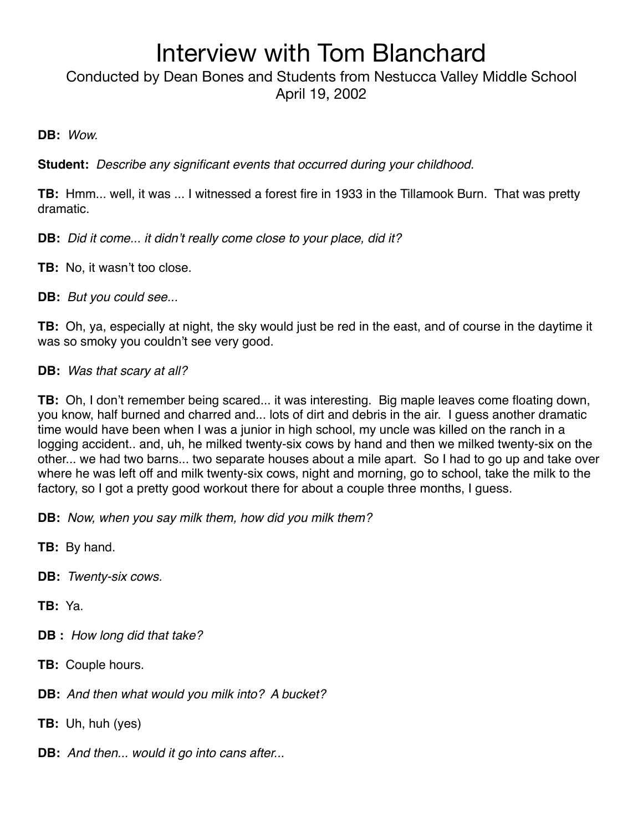Conducted by Dean Bones and Students from Nestucca Valley Middle School April 19, 2002

**DB:** *Wow.*

**Student:** *Describe any significant events that occurred during your childhood.*

**TB:** Hmm... well, it was ... I witnessed a forest fire in 1933 in the Tillamook Burn. That was pretty dramatic.

**DB:** *Did it come... it didn*'*t really come close to your place, did it?*

**TB:** No, it wasn't too close.

**DB:** *But you could see...*

**TB:** Oh, ya, especially at night, the sky would just be red in the east, and of course in the daytime it was so smoky you couldn't see very good.

**DB:** *Was that scary at all?*

**TB:** Oh, I don't remember being scared... it was interesting. Big maple leaves come floating down, you know, half burned and charred and... lots of dirt and debris in the air. I guess another dramatic time would have been when I was a junior in high school, my uncle was killed on the ranch in a logging accident.. and, uh, he milked twenty-six cows by hand and then we milked twenty-six on the other... we had two barns... two separate houses about a mile apart. So I had to go up and take over where he was left off and milk twenty-six cows, night and morning, go to school, take the milk to the factory, so I got a pretty good workout there for about a couple three months, I guess.

**DB:** *Now, when you say milk them, how did you milk them?*

**TB:** By hand.

**DB:** *Twenty-six cows.*

**TB:** Ya.

**DB :** *How long did that take?*

**TB:** Couple hours.

**DB:** *And then what would you milk into? A bucket?* 

**TB:** Uh, huh (yes)

**DB:** *And then... would it go into cans after...*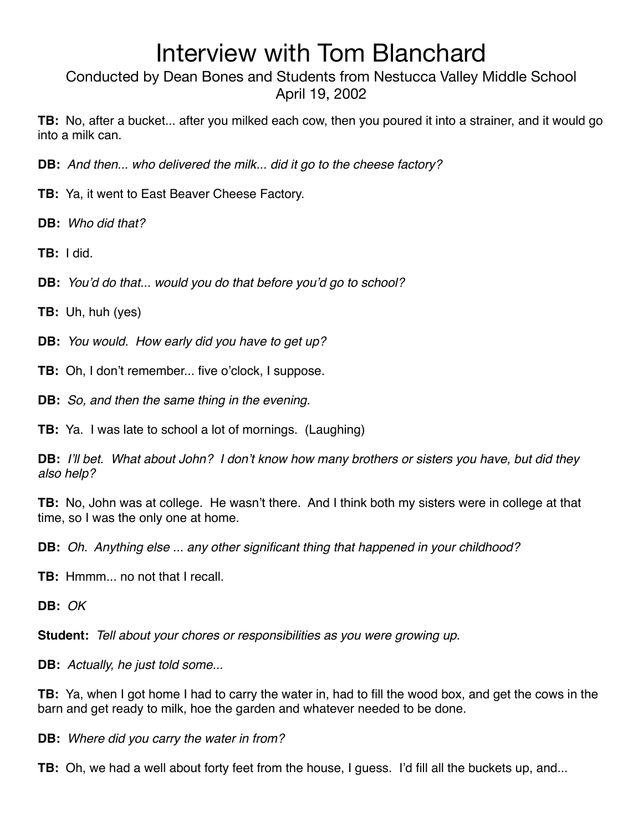Conducted by Dean Bones and Students from Nestucca Valley Middle School April 19, 2002

**TB:** No, after a bucket... after you milked each cow, then you poured it into a strainer, and it would go into a milk can.

**DB:** *And then... who delivered the milk... did it go to the cheese factory?*

- **TB:** Ya, it went to East Beaver Cheese Factory.
- **DB:** *Who did that?*

**TB:** I did.

**DB:** *You*'*d do that... would you do that before you*'*d go to school?*

**TB:** Uh, huh (yes)

**DB:** *You would. How early did you have to get up?*

**TB:** Oh, I don't remember... five o'clock, I suppose.

**DB:** *So, and then the same thing in the evening.*

**TB:** Ya. I was late to school a lot of mornings. (Laughing)

**DB:** *I*'*ll bet. What about John? I don*'*t know how many brothers or sisters you have, but did they also help?*

**TB:** No, John was at college. He wasn't there. And I think both my sisters were in college at that time, so I was the only one at home.

**DB:** *Oh. Anything else ... any other significant thing that happened in your childhood?*

**TB:** Hmmm... no not that I recall.

**DB:** *OK*

**Student:** *Tell about your chores or responsibilities as you were growing up.*

**DB:** *Actually, he just told some...*

**TB:** Ya, when I got home I had to carry the water in, had to fill the wood box, and get the cows in the barn and get ready to milk, hoe the garden and whatever needed to be done.

**DB:** *Where did you carry the water in from?*

**TB:** Oh, we had a well about forty feet from the house, I guess. I'd fill all the buckets up, and...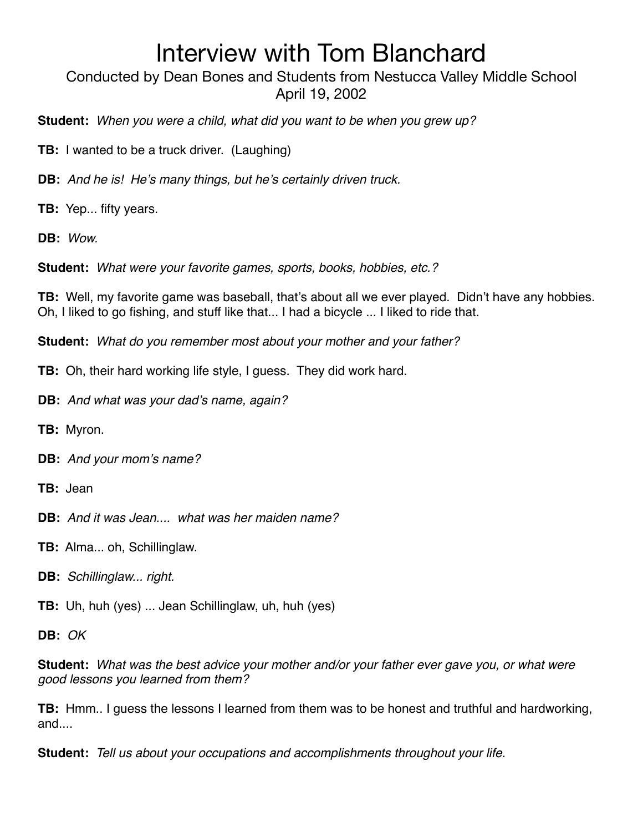Conducted by Dean Bones and Students from Nestucca Valley Middle School April 19, 2002

**Student:** *When you were a child, what did you want to be when you grew up?*

**TB:** I wanted to be a truck driver. (Laughing)

**DB:** *And he is! He*'*s many things, but he*'*s certainly driven truck.*

**TB:** Yep... fifty years.

**DB:** *Wow.*

**Student:** *What were your favorite games, sports, books, hobbies, etc.?*

**TB:** Well, my favorite game was baseball, that's about all we ever played. Didn't have any hobbies. Oh, I liked to go fishing, and stuff like that... I had a bicycle ... I liked to ride that.

**Student:** *What do you remember most about your mother and your father?*

**TB:** Oh, their hard working life style, I guess. They did work hard.

**DB:** *And what was your dad*'*s name, again?*

**TB:** Myron.

**DB:** *And your mom*'*s name?*

**TB:** Jean

**DB:** *And it was Jean.... what was her maiden name?*

**TB:** Alma... oh, Schillinglaw.

**DB:** *Schillinglaw... right.*

**TB:** Uh, huh (yes) ... Jean Schillinglaw, uh, huh (yes)

**DB:** *OK*

**Student:** *What was the best advice your mother and/or your father ever gave you, or what were good lessons you learned from them?*

**TB:** Hmm.. I guess the lessons I learned from them was to be honest and truthful and hardworking, and....

**Student:** *Tell us about your occupations and accomplishments throughout your life.*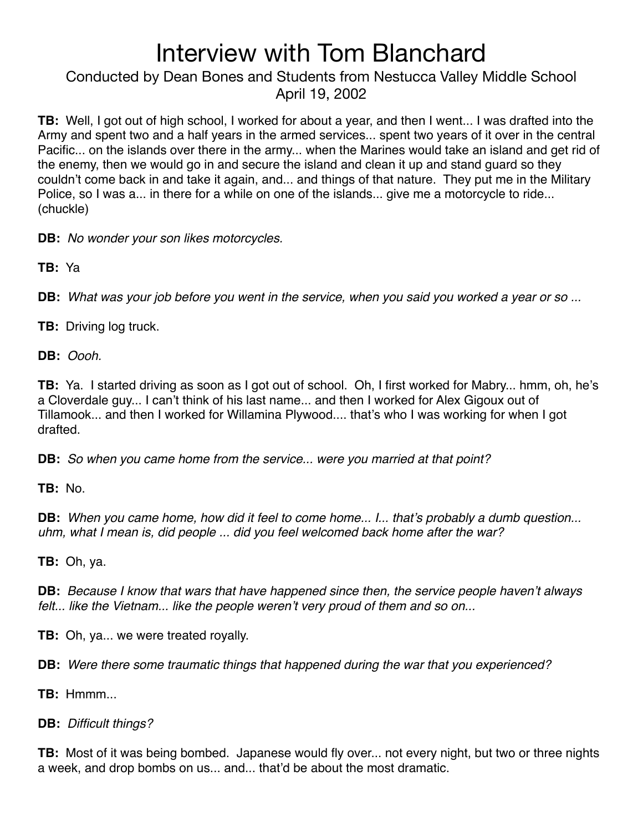Conducted by Dean Bones and Students from Nestucca Valley Middle School April 19, 2002

**TB:** Well, I got out of high school, I worked for about a year, and then I went... I was drafted into the Army and spent two and a half years in the armed services... spent two years of it over in the central Pacific... on the islands over there in the army... when the Marines would take an island and get rid of the enemy, then we would go in and secure the island and clean it up and stand guard so they couldn't come back in and take it again, and... and things of that nature. They put me in the Military Police, so I was a... in there for a while on one of the islands... give me a motorcycle to ride... (chuckle)

**DB:** *No wonder your son likes motorcycles.*

**TB:** Ya

**DB:** *What was your job before you went in the service, when you said you worked a year or so ...*

**TB:** Driving log truck.

**DB:** *Oooh.*

**TB:** Ya. I started driving as soon as I got out of school. Oh, I first worked for Mabry... hmm, oh, he's a Cloverdale guy... I can't think of his last name... and then I worked for Alex Gigoux out of Tillamook... and then I worked for Willamina Plywood.... that's who I was working for when I got drafted.

**DB:** *So when you came home from the service... were you married at that point?*

**TB:** No.

**DB:** *When you came home, how did it feel to come home... I... that*'*s probably a dumb question... uhm, what I mean is, did people ... did you feel welcomed back home after the war?*

**TB:** Oh, ya.

**DB:** *Because I know that wars that have happened since then, the service people haven*'*t always felt... like the Vietnam... like the people weren*'*t very proud of them and so on...*

**TB:** Oh, ya... we were treated royally.

**DB:** *Were there some traumatic things that happened during the war that you experienced?*

**TB:** Hmmm...

**DB:** *Difficult things?*

**TB:** Most of it was being bombed. Japanese would fly over... not every night, but two or three nights a week, and drop bombs on us... and... that'd be about the most dramatic.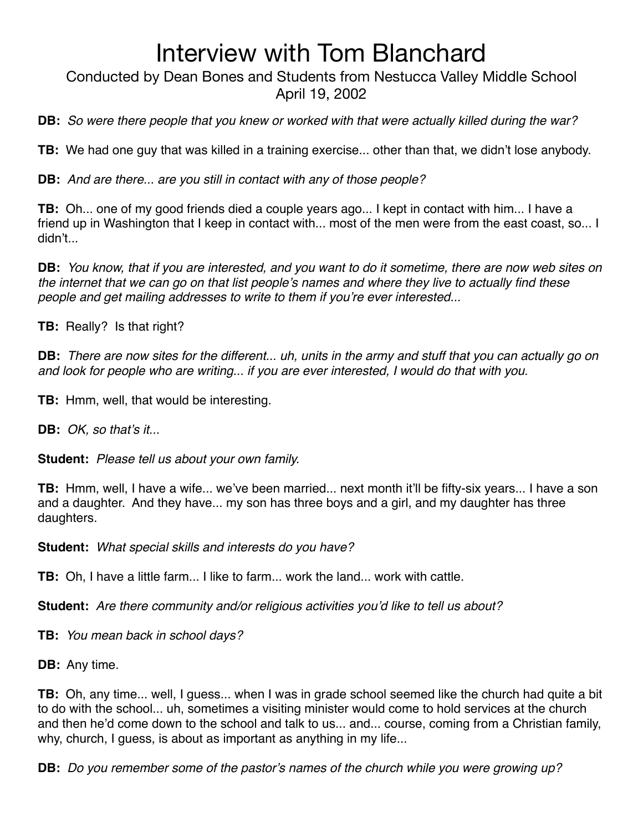Conducted by Dean Bones and Students from Nestucca Valley Middle School April 19, 2002

**DB:** *So were there people that you knew or worked with that were actually killed during the war?*

**TB:** We had one guy that was killed in a training exercise... other than that, we didn't lose anybody.

**DB:** *And are there... are you still in contact with any of those people?*

**TB:** Oh... one of my good friends died a couple years ago... I kept in contact with him... I have a friend up in Washington that I keep in contact with... most of the men were from the east coast, so... I didn't...

**DB:** *You know, that if you are interested, and you want to do it sometime, there are now web sites on the internet that we can go on that list people*'*s names and where they live to actually find these people and get mailing addresses to write to them if you*'*re ever interested...*

**TB:** Really? Is that right?

**DB:** *There are now sites for the different... uh, units in the army and stuff that you can actually go on and look for people who are writing... if you are ever interested, I would do that with you.*

**TB:** Hmm, well, that would be interesting.

**DB:** *OK, so that*'*s it...*

**Student:** *Please tell us about your own family.*

**TB:** Hmm, well, I have a wife... we've been married... next month it'll be fifty-six years... I have a son and a daughter. And they have... my son has three boys and a girl, and my daughter has three daughters.

**Student:** *What special skills and interests do you have?*

**TB:** Oh, I have a little farm... I like to farm... work the land... work with cattle.

**Student:** *Are there community and/or religious activities you*'*d like to tell us about?*

**TB:** *You mean back in school days?*

**DB:** Any time.

**TB:** Oh, any time... well, I guess... when I was in grade school seemed like the church had quite a bit to do with the school... uh, sometimes a visiting minister would come to hold services at the church and then he'd come down to the school and talk to us... and... course, coming from a Christian family, why, church, I guess, is about as important as anything in my life...

**DB:** *Do you remember some of the pastor*'*s names of the church while you were growing up?*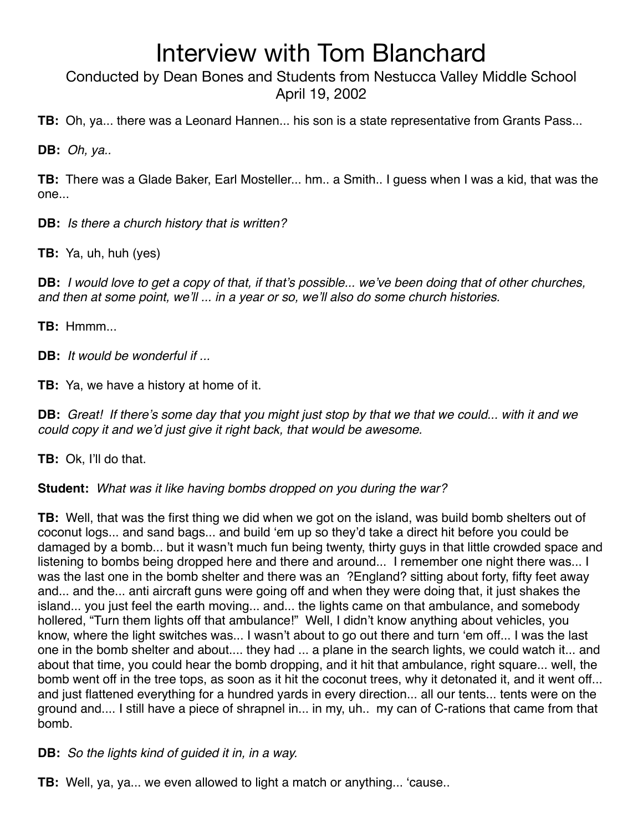Conducted by Dean Bones and Students from Nestucca Valley Middle School April 19, 2002

**TB:** Oh, ya... there was a Leonard Hannen... his son is a state representative from Grants Pass...

**DB:** *Oh, ya..*

**TB:** There was a Glade Baker, Earl Mosteller... hm.. a Smith.. I guess when I was a kid, that was the one...

**DB:** *Is there a church history that is written?*

**TB:** Ya, uh, huh (yes)

**DB:** *I would love to get a copy of that, if that*'*s possible... we*'*ve been doing that of other churches, and then at some point, we*'*ll ... in a year or so, we*'*ll also do some church histories.*

**TB:** Hmmm...

**DB:** *It would be wonderful if ...*

**TB:** Ya, we have a history at home of it.

**DB:** *Great! If there*'*s some day that you might just stop by that we that we could... with it and we could copy it and we*'*d just give it right back, that would be awesome.*

**TB:** Ok, I'll do that.

**Student:** *What was it like having bombs dropped on you during the war?*

**TB:** Well, that was the first thing we did when we got on the island, was build bomb shelters out of coconut logs... and sand bags... and build ʻem up so they'd take a direct hit before you could be damaged by a bomb... but it wasn't much fun being twenty, thirty guys in that little crowded space and listening to bombs being dropped here and there and around... I remember one night there was... I was the last one in the bomb shelter and there was an ?England? sitting about forty, fifty feet away and... and the... anti aircraft guns were going off and when they were doing that, it just shakes the island... you just feel the earth moving... and... the lights came on that ambulance, and somebody hollered, "Turn them lights off that ambulance!" Well, I didn't know anything about vehicles, you know, where the light switches was... I wasn't about to go out there and turn ʻem off... I was the last one in the bomb shelter and about.... they had ... a plane in the search lights, we could watch it... and about that time, you could hear the bomb dropping, and it hit that ambulance, right square... well, the bomb went off in the tree tops, as soon as it hit the coconut trees, why it detonated it, and it went off... and just flattened everything for a hundred yards in every direction... all our tents... tents were on the ground and.... I still have a piece of shrapnel in... in my, uh.. my can of C-rations that came from that bomb.

**DB:** *So the lights kind of guided it in, in a way.*

**TB:** Well, ya, ya... we even allowed to light a match or anything... ʻcause..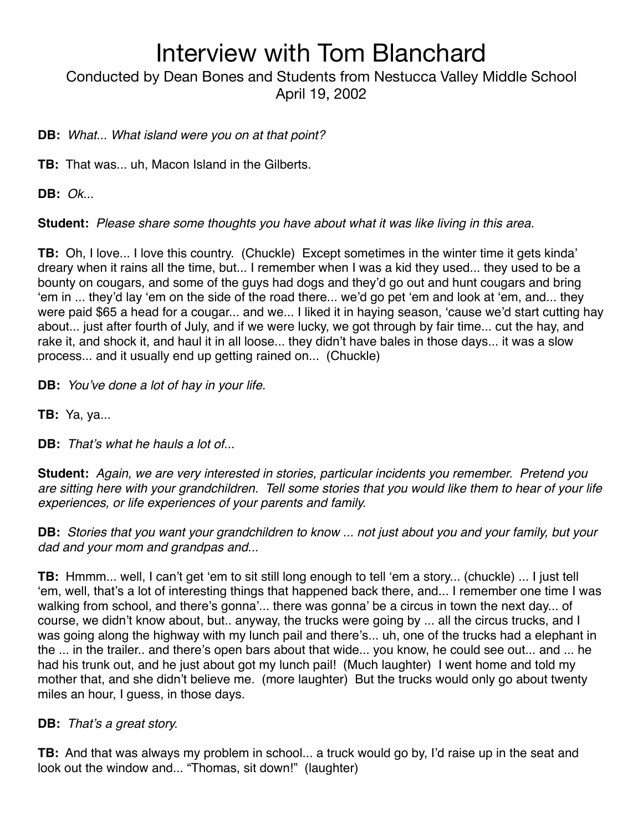Conducted by Dean Bones and Students from Nestucca Valley Middle School April 19, 2002

### **DB:** *What... What island were you on at that point?*

**TB:** That was... uh, Macon Island in the Gilberts.

**DB:** *Ok...*

**Student:** *Please share some thoughts you have about what it was like living in this area.*

**TB:** Oh, I love... I love this country. (Chuckle) Except sometimes in the winter time it gets kinda' dreary when it rains all the time, but... I remember when I was a kid they used... they used to be a bounty on cougars, and some of the guys had dogs and they'd go out and hunt cougars and bring ʻem in ... they'd lay ʻem on the side of the road there... we'd go pet ʻem and look at ʻem, and... they were paid \$65 a head for a cougar... and we... I liked it in haying season, ʻcause we'd start cutting hay about... just after fourth of July, and if we were lucky, we got through by fair time... cut the hay, and rake it, and shock it, and haul it in all loose... they didn't have bales in those days... it was a slow process... and it usually end up getting rained on... (Chuckle)

**DB:** *You*'*ve done a lot of hay in your life.*

**TB:** Ya, ya...

**DB:** *That*'*s what he hauls a lot of...*

**Student:** *Again, we are very interested in stories, particular incidents you remember. Pretend you are sitting here with your grandchildren. Tell some stories that you would like them to hear of your life experiences, or life experiences of your parents and family.*

**DB:** *Stories that you want your grandchildren to know ... not just about you and your family, but your dad and your mom and grandpas and...*

**TB:** Hmmm... well, I can't get ʻem to sit still long enough to tell ʻem a story... (chuckle) ... I just tell ʻem, well, that's a lot of interesting things that happened back there, and... I remember one time I was walking from school, and there's gonna'... there was gonna' be a circus in town the next day... of course, we didn't know about, but.. anyway, the trucks were going by ... all the circus trucks, and I was going along the highway with my lunch pail and there's... uh, one of the trucks had a elephant in the ... in the trailer.. and there's open bars about that wide... you know, he could see out... and ... he had his trunk out, and he just about got my lunch pail! (Much laughter) I went home and told my mother that, and she didn't believe me. (more laughter) But the trucks would only go about twenty miles an hour, I guess, in those days.

### **DB:** *That*'*s a great story.*

**TB:** And that was always my problem in school... a truck would go by, I'd raise up in the seat and look out the window and... "Thomas, sit down!" (laughter)